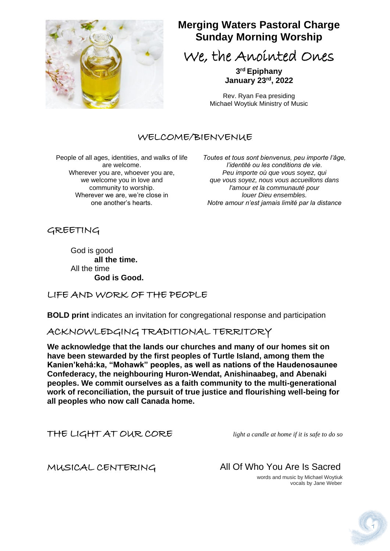

## **Merging Waters Pastoral Charge Sunday Morning Worship**

We, the Anointed Ones

**3 rd Epiphany January 23rd, 2022**

Rev. Ryan Fea presiding Michael Woytiuk Ministry of Music

## WELCOME/BIENVENUE

People of all ages, identities, and walks of life are welcome. Wherever you are, whoever you are, we welcome you in love and community to worship. Wherever we are, we're close in one another's hearts.

*Toutes et tous sont bienvenus, peu importe l'âge, l'identité ou les conditions de vie. Peu importe où que vous soyez, qui que vous soyez, nous vous accueillons dans l'amour et la communauté pour louer Dieu ensembles. Notre amour n'est jamais limité par la distance*

GREETING

God is good **all the time.** All the time **God is Good.**

## LIFE AND WORK OF THE PEOPLE

**BOLD print** indicates an invitation for congregational response and participation

## ACKNOWLEDGING TRADITIONAL TERRITORY

**We acknowledge that the lands our churches and many of our homes sit on have been stewarded by the first peoples of Turtle Island, among them the Kanien'kehá:ka, "Mohawk" peoples, as well as nations of the Haudenosaunee Confederacy, the neighbouring Huron-Wendat, Anishinaabeg, and Abenaki peoples. We commit ourselves as a faith community to the multi-generational work of reconciliation, the pursuit of true justice and flourishing well-being for all peoples who now call Canada home.**

THE LIGHT AT OUR CORE *light a candle at home if it is safe to do so*

MUSICAL CENTERING All Of Who You Are Is Sacred

 words and music by Michael Woytiuk vocals by Jane Weber

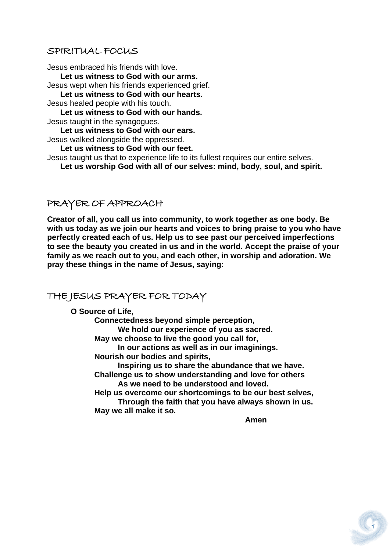#### SPIRITUAL FOCUS

Jesus embraced his friends with love.  **Let us witness to God with our arms.**

Jesus wept when his friends experienced grief.

 **Let us witness to God with our hearts.**

Jesus healed people with his touch.

 **Let us witness to God with our hands.**

Jesus taught in the synagogues.

 **Let us witness to God with our ears.** Jesus walked alongside the oppressed.

 **Let us witness to God with our feet.**

Jesus taught us that to experience life to its fullest requires our entire selves.

 **Let us worship God with all of our selves: mind, body, soul, and spirit.**

#### PRAYER OF APPROACH

**Creator of all, you call us into community, to work together as one body. Be with us today as we join our hearts and voices to bring praise to you who have perfectly created each of us. Help us to see past our perceived imperfections to see the beauty you created in us and in the world. Accept the praise of your family as we reach out to you, and each other, in worship and adoration. We pray these things in the name of Jesus, saying:** 

## THE JESUS PRAYER FOR TODAY

**O Source of Life,**

**Connectedness beyond simple perception, We hold our experience of you as sacred. May we choose to live the good you call for, In our actions as well as in our imaginings. Nourish our bodies and spirits, Inspiring us to share the abundance that we have. Challenge us to show understanding and love for others As we need to be understood and loved. Help us overcome our shortcomings to be our best selves, Through the faith that you have always shown in us. May we all make it so.**

*Amen* **Amen** 

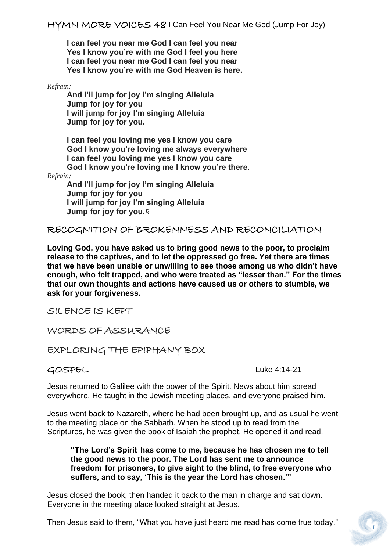**I can feel you near me God I can feel you near Yes I know you're with me God I feel you here I can feel you near me God I can feel you near Yes I know you're with me God Heaven is here.**

*Refrain:*

 **And I'll jump for joy I'm singing Alleluia Jump for joy for you I will jump for joy I'm singing Alleluia Jump for joy for you.**

 **I can feel you loving me yes I know you care God I know you're loving me always everywhere I can feel you loving me yes I know you care God I know you're loving me I know you're there.** 

*Refrain:*

 **And I'll jump for joy I'm singing Alleluia Jump for joy for you I will jump for joy I'm singing Alleluia Jump for joy for you.***R*

RECOGNITION OF BROKENNESS AND RECONCILIATION

**Loving God, you have asked us to bring good news to the poor, to proclaim release to the captives, and to let the oppressed go free. Yet there are times that we have been unable or unwilling to see those among us who didn't have enough, who felt trapped, and who were treated as "lesser than." For the times that our own thoughts and actions have caused us or others to stumble, we ask for your forgiveness.**

SILENCE IS KEPT

WORDS OF ASSURANCE

EXPLORING THE EPIPHANY BOX

GOSPELLuke 4:14-21

Jesus returned to Galilee with the power of the Spirit. News about him spread everywhere. He taught in the Jewish meeting places, and everyone praised him.

Jesus went back to Nazareth, where he had been brought up, and as usual he went to the meeting place on the Sabbath. When he stood up to read from the Scriptures, he was given the book of Isaiah the prophet. He opened it and read,

**"The Lord's Spirit has come to me, because he has chosen me to tell the good news to the poor. The Lord has sent me to announce freedom for prisoners, to give sight to the blind, to free everyone who suffers, and to say, 'This is the year the Lord has chosen.'"**

Jesus closed the book, then handed it back to the man in charge and sat down. Everyone in the meeting place looked straight at Jesus.

Then Jesus said to them, "What you have just heard me read has come true today."

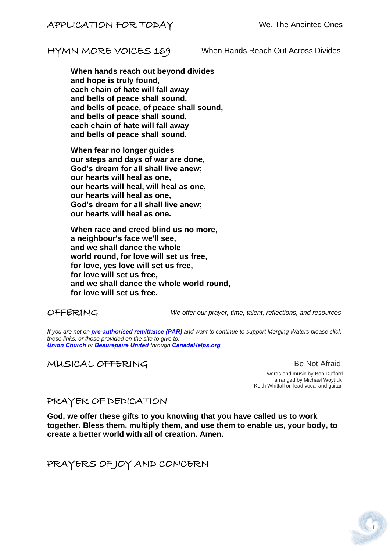HYMN MORE VOICES 169 When Hands Reach Out Across Divides

**When hands reach out beyond divides and hope is truly found, each chain of hate will fall away and bells of peace shall sound, and bells of peace, of peace shall sound, and bells of peace shall sound, each chain of hate will fall away and bells of peace shall sound.**

**When fear no longer guides our steps and days of war are done, God's dream for all shall live anew; our hearts will heal as one, our hearts will heal, will heal as one, our hearts will heal as one, God's dream for all shall live anew; our hearts will heal as one.**

**When race and creed blind us no more, a neighbour's face we'll see, and we shall dance the whole world round, for love will set us free, for love, yes love will set us free, for love will set us free, and we shall dance the whole world round, for love will set us free.**

OFFERING *We offer our prayer, time, talent, reflections, and resources*

*If you are not on pre-authorised [remittance \(PAR\)](http://mergingwaters.ca/mt-content/uploads/2020/03/form_par-authorization.pdf) and want to continue to support Merging Waters please click these links, or those provided on the site to give to: [Union Church](https://www.canadahelps.org/en/charities/union-church-ste-anne-de-bellevue/) or [Beaurepaire United](https://www.canadahelps.org/en/charities/beaurepaire-united-church/) through [CanadaHelps.org](http://www.canadahelps.org/)*

## MUSICAL OFFERING BE Not Afraid

 words and music by Bob Dufford arranged by Michael Woytiuk Keith Whittall on lead vocal and guitar

#### PRAYER OF DEDICATION

**God, we offer these gifts to you knowing that you have called us to work together. Bless them, multiply them, and use them to enable us, your body, to create a better world with all of creation. Amen.**

PRAYERS OF JOY AND CONCERN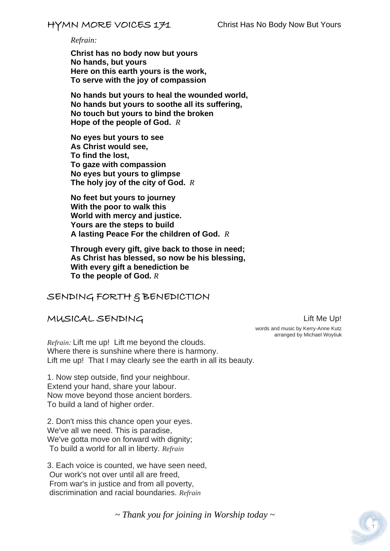*Refrain:*

**Christ has no body now but yours No hands, but yours Here on this earth yours is the work, To serve with the joy of compassion**

**No hands but yours to heal the wounded world, No hands but yours to soothe all its suffering, No touch but yours to bind the broken Hope of the people of God.** *R*

**No eyes but yours to see As Christ would see, To find the lost, To gaze with compassion No eyes but yours to glimpse The holy joy of the city of God.** *R*

**No feet but yours to journey With the poor to walk this World with mercy and justice. Yours are the steps to build A lasting Peace For the children of God.** *R*

**Through every gift, give back to those in need; As Christ has blessed, so now be his blessing, With every gift a benediction be To the people of God.** *R*

#### SENDING FORTH & BENEDICTION

#### MUSICAL SENDINGLift Me Up!

*Refrain:* Lift me up! Lift me beyond the clouds. Where there is sunshine where there is harmony. Lift me up! That I may clearly see the earth in all its beauty.

1. Now step outside, find your neighbour. Extend your hand, share your labour. Now move beyond those ancient borders. To build a land of higher order.

2. Don't miss this chance open your eyes. We've all we need. This is paradise, We've gotta move on forward with dignity; To build a world for all in liberty. *Refrain*

3. Each voice is counted, we have seen need, Our work's not over until all are freed, From war's in justice and from all poverty, discrimination and racial boundaries. *Refrain*

 words and music by Kerry-Anne Kutz arranged by Michael Woytiuk

*~ Thank you for joining in Worship today ~*